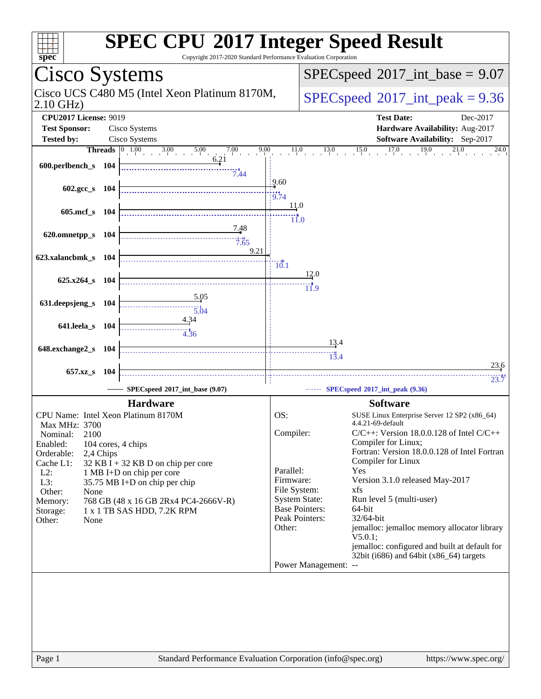| spec                              |            | Copyright 2017-2020 Standard Performance Evaluation Corporation                                                     |                 | <b>SPEC CPU®2017 Integer Speed Result</b>                                                             |
|-----------------------------------|------------|---------------------------------------------------------------------------------------------------------------------|-----------------|-------------------------------------------------------------------------------------------------------|
| Cisco Systems                     |            |                                                                                                                     |                 | $SPEC speed^{\circ}2017\_int\_base = 9.07$                                                            |
| $2.10$ GHz)                       |            | Cisco UCS C480 M5 (Intel Xeon Platinum 8170M,                                                                       |                 | $SPEC speed^{\circ}2017\_int\_peak = 9.36$                                                            |
| <b>CPU2017 License: 9019</b>      |            |                                                                                                                     |                 | <b>Test Date:</b><br>Dec-2017                                                                         |
| <b>Test Sponsor:</b>              |            | Cisco Systems                                                                                                       |                 | Hardware Availability: Aug-2017                                                                       |
| <b>Tested by:</b>                 |            | Cisco Systems                                                                                                       |                 | Software Availability: Sep-2017                                                                       |
|                                   |            | <b>Threads</b> $\begin{array}{ c c c } \hline 0 & 1.00 & 3.00 \ \hline \end{array}$<br>7.00<br>9.00<br>5.00<br>6.21 |                 | 17.0<br>11.0<br>15.0<br>19.0<br>13.0<br>24.0                                                          |
| 600.perlbench_s 104               |            | 7.44                                                                                                                | 9.60            |                                                                                                       |
| $602.\text{gcc s}$ 104            |            |                                                                                                                     | 19.74           |                                                                                                       |
| $605$ .mcf_s                      | - 104      |                                                                                                                     | <u>11</u> .0    | $\dddot{}$ ii.o                                                                                       |
| 620.omnetpp_s 104                 |            | <u>7.48</u><br>7.65<br>9.21                                                                                         |                 |                                                                                                       |
| 623.xalancbmk_s 104               |            |                                                                                                                     | $\frac{1}{0.1}$ | 12.0                                                                                                  |
| $625.x264_s$                      | - 104      | 5.05                                                                                                                |                 | 11.9                                                                                                  |
| 631.deepsjeng_s                   | <b>104</b> | 5.04<br>4.34                                                                                                        |                 |                                                                                                       |
| 641.leela_s 104                   |            | <br>4.36                                                                                                            |                 | 13.4                                                                                                  |
| 648.exchange2_s                   | -104       |                                                                                                                     |                 | 13.4                                                                                                  |
| 657.xz_s                          | <b>104</b> |                                                                                                                     |                 | 23.6                                                                                                  |
|                                   |            | SPECspeed®2017_int_base (9.07)                                                                                      |                 | 23.7<br>SPECspeed®2017_int_peak (9.36)                                                                |
|                                   |            | <b>Hardware</b>                                                                                                     |                 | <b>Software</b>                                                                                       |
|                                   |            | CPU Name: Intel Xeon Platinum 8170M                                                                                 | OS:             | SUSE Linux Enterprise Server 12 SP2 (x86_64)<br>4.4.21-69-default                                     |
| Max MHz: 3700<br>Nominal:<br>2100 |            |                                                                                                                     | Compiler:       | $C/C++$ : Version 18.0.0.128 of Intel $C/C++$                                                         |
| Enabled:                          |            | 104 cores, 4 chips                                                                                                  |                 | Compiler for Linux;                                                                                   |
| Orderable:                        | 2,4 Chips  |                                                                                                                     |                 | Fortran: Version 18.0.0.128 of Intel Fortran<br>Compiler for Linux                                    |
| Cache L1:<br>$L2$ :               |            | $32$ KB I + 32 KB D on chip per core<br>1 MB I+D on chip per core                                                   | Parallel:       | Yes                                                                                                   |
| L3:                               |            | 35.75 MB I+D on chip per chip                                                                                       | Firmware:       | Version 3.1.0 released May-2017                                                                       |
| Other:<br>None                    |            |                                                                                                                     | File System:    | xfs                                                                                                   |
| Memory:                           |            | 768 GB (48 x 16 GB 2Rx4 PC4-2666V-R)                                                                                |                 | <b>System State:</b><br>Run level 5 (multi-user)<br><b>Base Pointers:</b><br>64-bit                   |
| Storage:<br>Other:<br>None        |            | 1 x 1 TB SAS HDD, 7.2K RPM                                                                                          |                 | Peak Pointers:<br>32/64-bit                                                                           |
|                                   |            |                                                                                                                     | Other:          | jemalloc: jemalloc memory allocator library                                                           |
|                                   |            |                                                                                                                     |                 | V5.0.1;<br>jemalloc: configured and built at default for<br>32bit (i686) and 64bit $(x86_64)$ targets |
|                                   |            |                                                                                                                     |                 | Power Management: --                                                                                  |
|                                   |            |                                                                                                                     |                 |                                                                                                       |
|                                   |            |                                                                                                                     |                 |                                                                                                       |
|                                   |            |                                                                                                                     |                 |                                                                                                       |
|                                   |            |                                                                                                                     |                 |                                                                                                       |
|                                   |            |                                                                                                                     |                 |                                                                                                       |
|                                   |            |                                                                                                                     |                 |                                                                                                       |
|                                   |            |                                                                                                                     |                 |                                                                                                       |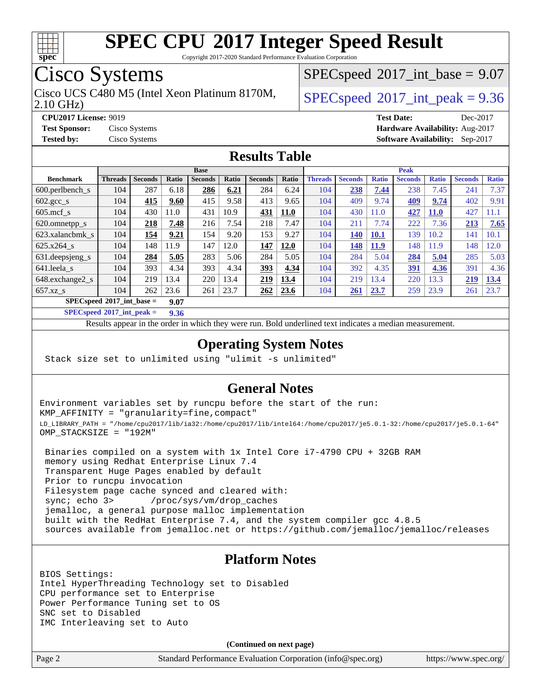

Copyright 2017-2020 Standard Performance Evaluation Corporation

## Cisco Systems

2.10 GHz) Cisco UCS C480 M5 (Intel Xeon Platinum 8170M,  $\vert$  [SPECspeed](http://www.spec.org/auto/cpu2017/Docs/result-fields.html#SPECspeed2017intpeak)®[2017\\_int\\_peak = 9](http://www.spec.org/auto/cpu2017/Docs/result-fields.html#SPECspeed2017intpeak).36

 $SPECspeed^{\circ}2017\_int\_base = 9.07$  $SPECspeed^{\circ}2017\_int\_base = 9.07$ 

**[CPU2017 License:](http://www.spec.org/auto/cpu2017/Docs/result-fields.html#CPU2017License)** 9019 **[Test Date:](http://www.spec.org/auto/cpu2017/Docs/result-fields.html#TestDate)** Dec-2017 **[Test Sponsor:](http://www.spec.org/auto/cpu2017/Docs/result-fields.html#TestSponsor)** Cisco Systems **[Hardware Availability:](http://www.spec.org/auto/cpu2017/Docs/result-fields.html#HardwareAvailability)** Aug-2017 **[Tested by:](http://www.spec.org/auto/cpu2017/Docs/result-fields.html#Testedby)** Cisco Systems **[Software Availability:](http://www.spec.org/auto/cpu2017/Docs/result-fields.html#SoftwareAvailability)** Sep-2017

#### **[Results Table](http://www.spec.org/auto/cpu2017/Docs/result-fields.html#ResultsTable)**

|                                     | <b>Base</b>    |                |       |                |       | <b>Peak</b>    |             |                |                |              |                |              |                |              |
|-------------------------------------|----------------|----------------|-------|----------------|-------|----------------|-------------|----------------|----------------|--------------|----------------|--------------|----------------|--------------|
| <b>Benchmark</b>                    | <b>Threads</b> | <b>Seconds</b> | Ratio | <b>Seconds</b> | Ratio | <b>Seconds</b> | Ratio       | <b>Threads</b> | <b>Seconds</b> | <b>Ratio</b> | <b>Seconds</b> | <b>Ratio</b> | <b>Seconds</b> | <b>Ratio</b> |
| $600.$ perlbench $\mathsf{S}$       | 104            | 287            | 6.18  | 286            | 6.21  | 284            | 6.24        | 104            | 238            | 7.44         | 238            | 7.45         | 241            | 7.37         |
| $602 \text{.} \text{gcc}\text{.}$ s | 104            | 415            | 9.60  | 415            | 9.58  | 413            | 9.65        | 104            | 409            | 9.74         | <u>409</u>     | 9.74         | 402            | 9.91         |
| $605$ .mcf s                        | 104            | 430            | 11.0  | 431            | 10.9  | 431            | <b>11.0</b> | 104            | 430            | 11.0         | 427            | <b>11.0</b>  | 427            | 11.1         |
| 620.omnetpp_s                       | 104            | 218            | 7.48  | 216            | 7.54  | 218            | 7.47        | 104            | 211            | 7.74         | 222            | 7.36         | 213            | 7.65         |
| 623.xalancbmk s                     | 104            | 154            | 9.21  | 154            | 9.20  | 153            | 9.27        | 104            | 140            | <b>10.1</b>  | 139            | 10.2         | 141            | 10.1         |
| 625.x264 s                          | 104            | 148            | 11.9  | 147            | 12.0  | 147            | 12.0        | 104            | 148            | <b>11.9</b>  | 148            | 11.9         | 148            | 12.0         |
| 631.deepsjeng_s                     | 104            | 284            | 5.05  | 283            | 5.06  | 284            | 5.05        | 104            | 284            | 5.04         | 284            | 5.04         | 285            | 5.03         |
| 641.leela s                         | 104            | 393            | 4.34  | 393            | 4.34  | 393            | 4.34        | 104            | 392            | 4.35         | 391            | 4.36         | 391            | 4.36         |
| 648.exchange2 s                     | 104            | 219            | 13.4  | 220            | 13.4  | 219            | 13.4        | 104            | 219            | 13.4         | 220            | 3.3          | 219            | 13.4         |
| $657.xz$ <sub>S</sub>               | 104            | 262            | 23.6  | 261            | 23.7  | 262            | 23.6        | 104            | 261            | 23.7         | 259            | 23.9         | 261            | 23.7         |
| $SPECspeed*2017$ int base =<br>9.07 |                |                |       |                |       |                |             |                |                |              |                |              |                |              |

**[SPECspeed](http://www.spec.org/auto/cpu2017/Docs/result-fields.html#SPECspeed2017intpeak)[2017\\_int\\_peak =](http://www.spec.org/auto/cpu2017/Docs/result-fields.html#SPECspeed2017intpeak) 9.36**

Results appear in the [order in which they were run.](http://www.spec.org/auto/cpu2017/Docs/result-fields.html#RunOrder) Bold underlined text [indicates a median measurement](http://www.spec.org/auto/cpu2017/Docs/result-fields.html#Median).

#### **[Operating System Notes](http://www.spec.org/auto/cpu2017/Docs/result-fields.html#OperatingSystemNotes)**

Stack size set to unlimited using "ulimit -s unlimited"

#### **[General Notes](http://www.spec.org/auto/cpu2017/Docs/result-fields.html#GeneralNotes)**

Environment variables set by runcpu before the start of the run: KMP\_AFFINITY = "granularity=fine,compact" LD\_LIBRARY\_PATH = "/home/cpu2017/lib/ia32:/home/cpu2017/lib/intel64:/home/cpu2017/je5.0.1-32:/home/cpu2017/je5.0.1-64" OMP\_STACKSIZE = "192M"

 Binaries compiled on a system with 1x Intel Core i7-4790 CPU + 32GB RAM memory using Redhat Enterprise Linux 7.4 Transparent Huge Pages enabled by default Prior to runcpu invocation Filesystem page cache synced and cleared with: sync; echo 3> /proc/sys/vm/drop\_caches jemalloc, a general purpose malloc implementation built with the RedHat Enterprise 7.4, and the system compiler gcc 4.8.5 sources available from jemalloc.net or <https://github.com/jemalloc/jemalloc/releases>

#### **[Platform Notes](http://www.spec.org/auto/cpu2017/Docs/result-fields.html#PlatformNotes)**

BIOS Settings: Intel HyperThreading Technology set to Disabled CPU performance set to Enterprise Power Performance Tuning set to OS SNC set to Disabled IMC Interleaving set to Auto

**(Continued on next page)**

Page 2 Standard Performance Evaluation Corporation [\(info@spec.org\)](mailto:info@spec.org) <https://www.spec.org/>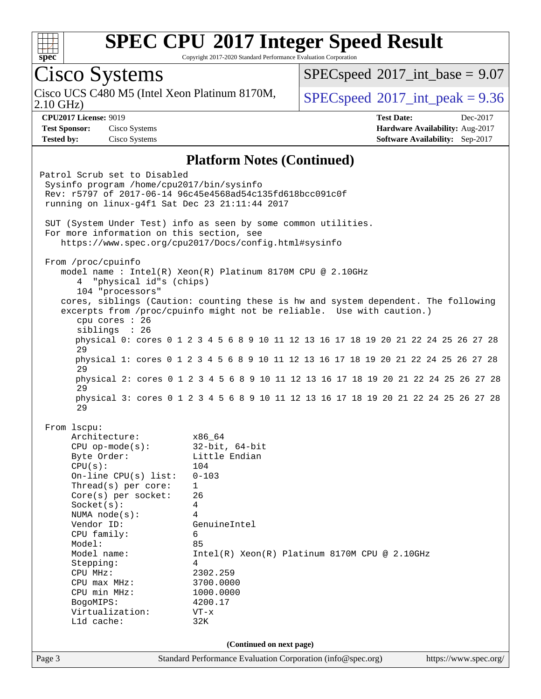

Copyright 2017-2020 Standard Performance Evaluation Corporation

Page 3 Standard Performance Evaluation Corporation [\(info@spec.org\)](mailto:info@spec.org) <https://www.spec.org/> Cisco Systems 2.10 GHz) Cisco UCS C480 M5 (Intel Xeon Platinum 8170M,  $\vert$  [SPECspeed](http://www.spec.org/auto/cpu2017/Docs/result-fields.html#SPECspeed2017intpeak)®[2017\\_int\\_peak = 9](http://www.spec.org/auto/cpu2017/Docs/result-fields.html#SPECspeed2017intpeak).36  $SPECspeed^{\circ}2017\_int\_base = 9.07$  $SPECspeed^{\circ}2017\_int\_base = 9.07$ **[CPU2017 License:](http://www.spec.org/auto/cpu2017/Docs/result-fields.html#CPU2017License)** 9019 **[Test Date:](http://www.spec.org/auto/cpu2017/Docs/result-fields.html#TestDate)** Dec-2017 **[Test Sponsor:](http://www.spec.org/auto/cpu2017/Docs/result-fields.html#TestSponsor)** Cisco Systems **[Hardware Availability:](http://www.spec.org/auto/cpu2017/Docs/result-fields.html#HardwareAvailability)** Aug-2017 **[Tested by:](http://www.spec.org/auto/cpu2017/Docs/result-fields.html#Testedby)** Cisco Systems **[Software Availability:](http://www.spec.org/auto/cpu2017/Docs/result-fields.html#SoftwareAvailability)** Sep-2017 **[Platform Notes \(Continued\)](http://www.spec.org/auto/cpu2017/Docs/result-fields.html#PlatformNotes)** Patrol Scrub set to Disabled Sysinfo program /home/cpu2017/bin/sysinfo Rev: r5797 of 2017-06-14 96c45e4568ad54c135fd618bcc091c0f running on linux-g4f1 Sat Dec 23 21:11:44 2017 SUT (System Under Test) info as seen by some common utilities. For more information on this section, see <https://www.spec.org/cpu2017/Docs/config.html#sysinfo> From /proc/cpuinfo model name : Intel(R) Xeon(R) Platinum 8170M CPU @ 2.10GHz 4 "physical id"s (chips) 104 "processors" cores, siblings (Caution: counting these is hw and system dependent. The following excerpts from /proc/cpuinfo might not be reliable. Use with caution.) cpu cores : 26 siblings : 26 physical 0: cores 0 1 2 3 4 5 6 8 9 10 11 12 13 16 17 18 19 20 21 22 24 25 26 27 28 29 physical 1: cores 0 1 2 3 4 5 6 8 9 10 11 12 13 16 17 18 19 20 21 22 24 25 26 27 28 29 physical 2: cores 0 1 2 3 4 5 6 8 9 10 11 12 13 16 17 18 19 20 21 22 24 25 26 27 28 29 physical 3: cores 0 1 2 3 4 5 6 8 9 10 11 12 13 16 17 18 19 20 21 22 24 25 26 27 28 29 From lscpu: Architecture: x86\_64 CPU op-mode(s): 32-bit, 64-bit Byte Order: Little Endian CPU(s): 104 On-line CPU(s) list: 0-103 Thread(s) per core: 1 Core(s) per socket: 26 Socket(s): 4 NUMA node(s): 4 Vendor ID: GenuineIntel CPU family: 6 Model: 85 Model name: Intel(R) Xeon(R) Platinum 8170M CPU @ 2.10GHz Stepping: 4 CPU MHz: 2302.259 CPU max MHz: 3700.0000 CPU min MHz: 1000.0000 BogoMIPS: 4200.17 Virtualization: VT-x L1d cache: 32K **(Continued on next page)**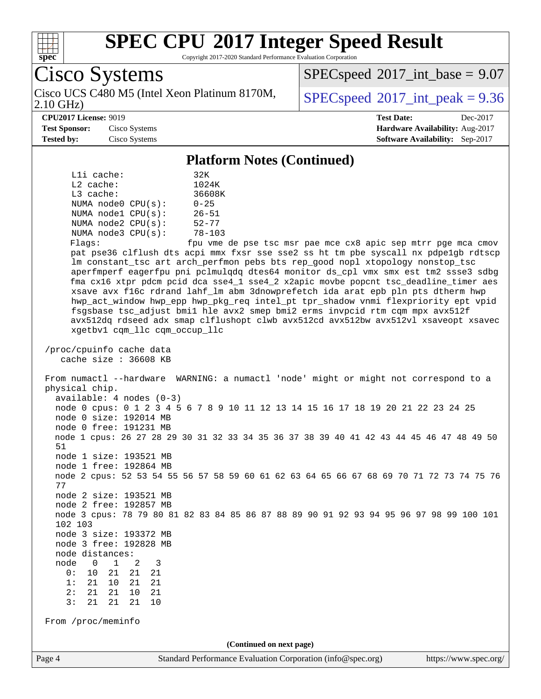

Copyright 2017-2020 Standard Performance Evaluation Corporation

Cisco Systems 2.10 GHz) Cisco UCS C480 M5 (Intel Xeon Platinum 8170M,  $\vert$  [SPECspeed](http://www.spec.org/auto/cpu2017/Docs/result-fields.html#SPECspeed2017intpeak)®[2017\\_int\\_peak = 9](http://www.spec.org/auto/cpu2017/Docs/result-fields.html#SPECspeed2017intpeak).36  $SPECspeed^{\circ}2017\_int\_base = 9.07$  $SPECspeed^{\circ}2017\_int\_base = 9.07$ **[CPU2017 License:](http://www.spec.org/auto/cpu2017/Docs/result-fields.html#CPU2017License)** 9019 **[Test Date:](http://www.spec.org/auto/cpu2017/Docs/result-fields.html#TestDate)** Dec-2017 **[Test Sponsor:](http://www.spec.org/auto/cpu2017/Docs/result-fields.html#TestSponsor)** Cisco Systems **[Hardware Availability:](http://www.spec.org/auto/cpu2017/Docs/result-fields.html#HardwareAvailability)** Aug-2017 **[Tested by:](http://www.spec.org/auto/cpu2017/Docs/result-fields.html#Testedby)** Cisco Systems **[Software Availability:](http://www.spec.org/auto/cpu2017/Docs/result-fields.html#SoftwareAvailability)** Sep-2017 **[Platform Notes \(Continued\)](http://www.spec.org/auto/cpu2017/Docs/result-fields.html#PlatformNotes)** L1i cache: 32K L2 cache: 1024K L3 cache: 36608K NUMA node0 CPU(s): 0-25 NUMA node1 CPU(s): 26-51 NUMA node2 CPU(s): 52-77 NUMA node3 CPU(s): 78-103 Flags: fpu vme de pse tsc msr pae mce cx8 apic sep mtrr pge mca cmov pat pse36 clflush dts acpi mmx fxsr sse sse2 ss ht tm pbe syscall nx pdpe1gb rdtscp lm constant\_tsc art arch\_perfmon pebs bts rep\_good nopl xtopology nonstop\_tsc aperfmperf eagerfpu pni pclmulqdq dtes64 monitor ds\_cpl vmx smx est tm2 ssse3 sdbg fma cx16 xtpr pdcm pcid dca sse4\_1 sse4\_2 x2apic movbe popcnt tsc\_deadline\_timer aes xsave avx f16c rdrand lahf\_lm abm 3dnowprefetch ida arat epb pln pts dtherm hwp hwp\_act\_window hwp\_epp hwp\_pkg\_req intel\_pt tpr\_shadow vnmi flexpriority ept vpid fsgsbase tsc\_adjust bmi1 hle avx2 smep bmi2 erms invpcid rtm cqm mpx avx512f avx512dq rdseed adx smap clflushopt clwb avx512cd avx512bw avx512vl xsaveopt xsavec xgetbv1 cqm\_llc cqm\_occup\_llc /proc/cpuinfo cache data cache size : 36608 KB From numactl --hardware WARNING: a numactl 'node' might or might not correspond to a physical chip. available: 4 nodes (0-3) node 0 cpus: 0 1 2 3 4 5 6 7 8 9 10 11 12 13 14 15 16 17 18 19 20 21 22 23 24 25 node 0 size: 192014 MB node 0 free: 191231 MB node 1 cpus: 26 27 28 29 30 31 32 33 34 35 36 37 38 39 40 41 42 43 44 45 46 47 48 49 50 51 node 1 size: 193521 MB node 1 free: 192864 MB node 2 cpus: 52 53 54 55 56 57 58 59 60 61 62 63 64 65 66 67 68 69 70 71 72 73 74 75 76 77 node 2 size: 193521 MB node 2 free: 192857 MB node 3 cpus: 78 79 80 81 82 83 84 85 86 87 88 89 90 91 92 93 94 95 96 97 98 99 100 101 102 103 node 3 size: 193372 MB node 3 free: 192828 MB node distances: node 0 1 2 3 0: 10 21 21 21 1: 21 10 21 21 2: 21 21 10 21 3: 21 21 21 10 From /proc/meminfo **(Continued on next page)**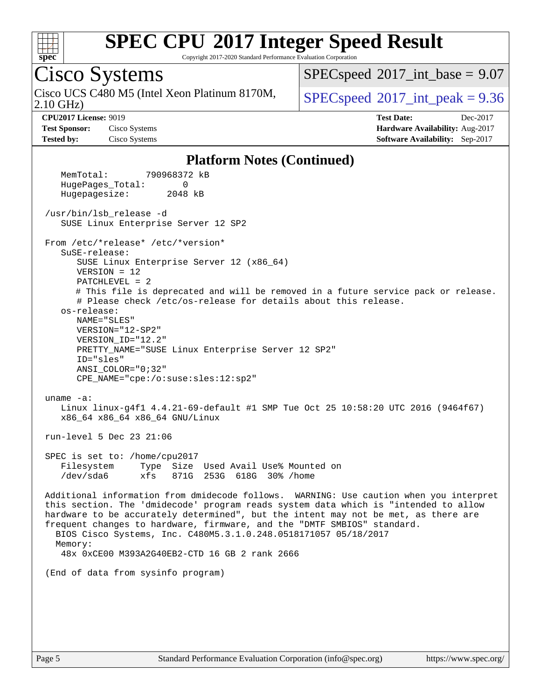

Copyright 2017-2020 Standard Performance Evaluation Corporation

## Cisco Systems

2.10 GHz) Cisco UCS C480 M5 (Intel Xeon Platinum 8170M,  $\vert$  [SPECspeed](http://www.spec.org/auto/cpu2017/Docs/result-fields.html#SPECspeed2017intpeak)®[2017\\_int\\_peak = 9](http://www.spec.org/auto/cpu2017/Docs/result-fields.html#SPECspeed2017intpeak).36

 $SPECspeed^{\circ}2017\_int\_base = 9.07$  $SPECspeed^{\circ}2017\_int\_base = 9.07$ 

**[Test Sponsor:](http://www.spec.org/auto/cpu2017/Docs/result-fields.html#TestSponsor)** Cisco Systems **[Hardware Availability:](http://www.spec.org/auto/cpu2017/Docs/result-fields.html#HardwareAvailability)** Aug-2017 **[Tested by:](http://www.spec.org/auto/cpu2017/Docs/result-fields.html#Testedby)** Cisco Systems **[Software Availability:](http://www.spec.org/auto/cpu2017/Docs/result-fields.html#SoftwareAvailability)** Sep-2017

**[CPU2017 License:](http://www.spec.org/auto/cpu2017/Docs/result-fields.html#CPU2017License)** 9019 **[Test Date:](http://www.spec.org/auto/cpu2017/Docs/result-fields.html#TestDate)** Dec-2017

#### **[Platform Notes \(Continued\)](http://www.spec.org/auto/cpu2017/Docs/result-fields.html#PlatformNotes)**

 MemTotal: 790968372 kB HugePages\_Total: 0 Hugepagesize: 2048 kB /usr/bin/lsb\_release -d SUSE Linux Enterprise Server 12 SP2 From /etc/\*release\* /etc/\*version\* SuSE-release: SUSE Linux Enterprise Server 12 (x86\_64) VERSION = 12 PATCHLEVEL = 2 # This file is deprecated and will be removed in a future service pack or release. # Please check /etc/os-release for details about this release. os-release: NAME="SLES" VERSION="12-SP2" VERSION\_ID="12.2" PRETTY\_NAME="SUSE Linux Enterprise Server 12 SP2" ID="sles" ANSI\_COLOR="0;32" CPE\_NAME="cpe:/o:suse:sles:12:sp2" uname -a: Linux linux-g4f1 4.4.21-69-default #1 SMP Tue Oct 25 10:58:20 UTC 2016 (9464f67) x86\_64 x86\_64 x86\_64 GNU/Linux run-level 5 Dec 23 21:06 SPEC is set to: /home/cpu2017 Filesystem Type Size Used Avail Use% Mounted on /dev/sda6 xfs 871G 253G 618G 30% /home Additional information from dmidecode follows. WARNING: Use caution when you interpret this section. The 'dmidecode' program reads system data which is "intended to allow hardware to be accurately determined", but the intent may not be met, as there are frequent changes to hardware, firmware, and the "DMTF SMBIOS" standard. BIOS Cisco Systems, Inc. C480M5.3.1.0.248.0518171057 05/18/2017 Memory: 48x 0xCE00 M393A2G40EB2-CTD 16 GB 2 rank 2666 (End of data from sysinfo program)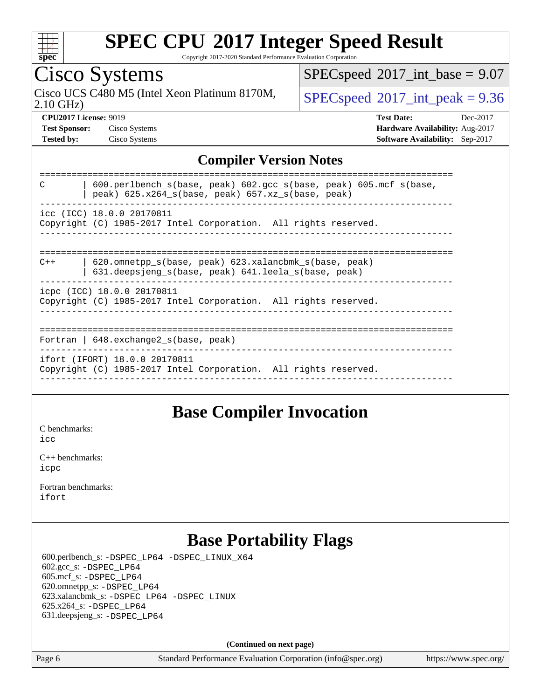

Copyright 2017-2020 Standard Performance Evaluation Corporation

## Cisco Systems

2.10 GHz) Cisco UCS C480 M5 (Intel Xeon Platinum 8170M,  $SPECspeed@2017\_int\_peak = 9.36$  $SPECspeed@2017\_int\_peak = 9.36$ 

 $SPECspeed*2017\_int\_base = 9.07$  $SPECspeed*2017\_int\_base = 9.07$ 

**[Test Sponsor:](http://www.spec.org/auto/cpu2017/Docs/result-fields.html#TestSponsor)** Cisco Systems **[Hardware Availability:](http://www.spec.org/auto/cpu2017/Docs/result-fields.html#HardwareAvailability)** Aug-2017

**[CPU2017 License:](http://www.spec.org/auto/cpu2017/Docs/result-fields.html#CPU2017License)** 9019 **[Test Date:](http://www.spec.org/auto/cpu2017/Docs/result-fields.html#TestDate)** Dec-2017 **[Tested by:](http://www.spec.org/auto/cpu2017/Docs/result-fields.html#Testedby)** Cisco Systems **[Software Availability:](http://www.spec.org/auto/cpu2017/Docs/result-fields.html#SoftwareAvailability)** Sep-2017

#### **[Compiler Version Notes](http://www.spec.org/auto/cpu2017/Docs/result-fields.html#CompilerVersionNotes)**

| $600.$ perlbench s(base, peak) $602.$ gcc s(base, peak) $605.$ mcf s(base,<br>$\mathcal{C}$<br>peak) $625.x264 s(base, peak) 657.xz s(base, peak)$ |
|----------------------------------------------------------------------------------------------------------------------------------------------------|
| icc (ICC) 18.0.0 20170811<br>Copyright (C) 1985-2017 Intel Corporation. All rights reserved.                                                       |
|                                                                                                                                                    |
| $620$ .omnetpp $s(base, peak)$ $623$ .xalancbmk $s(base, peak)$<br>$C++$<br>631.deepsjeng_s(base, peak) 641.leela_s(base, peak)                    |
| icpc (ICC) 18.0.0 20170811<br>Copyright (C) 1985-2017 Intel Corporation. All rights reserved.                                                      |
|                                                                                                                                                    |
| Fortran   $648$ . exchange2 $s$ (base, peak)                                                                                                       |
| ifort (IFORT) 18.0.0 20170811<br>Copyright (C) 1985-2017 Intel Corporation. All rights reserved.                                                   |
|                                                                                                                                                    |

#### **[Base Compiler Invocation](http://www.spec.org/auto/cpu2017/Docs/result-fields.html#BaseCompilerInvocation)**

[C benchmarks](http://www.spec.org/auto/cpu2017/Docs/result-fields.html#Cbenchmarks):

[icc](http://www.spec.org/cpu2017/results/res2017q4/cpu2017-20171128-01154.flags.html#user_CCbase_intel_icc_18.0_66fc1ee009f7361af1fbd72ca7dcefbb700085f36577c54f309893dd4ec40d12360134090235512931783d35fd58c0460139e722d5067c5574d8eaf2b3e37e92)

[C++ benchmarks:](http://www.spec.org/auto/cpu2017/Docs/result-fields.html#CXXbenchmarks) [icpc](http://www.spec.org/cpu2017/results/res2017q4/cpu2017-20171128-01154.flags.html#user_CXXbase_intel_icpc_18.0_c510b6838c7f56d33e37e94d029a35b4a7bccf4766a728ee175e80a419847e808290a9b78be685c44ab727ea267ec2f070ec5dc83b407c0218cded6866a35d07)

[Fortran benchmarks](http://www.spec.org/auto/cpu2017/Docs/result-fields.html#Fortranbenchmarks): [ifort](http://www.spec.org/cpu2017/results/res2017q4/cpu2017-20171128-01154.flags.html#user_FCbase_intel_ifort_18.0_8111460550e3ca792625aed983ce982f94888b8b503583aa7ba2b8303487b4d8a21a13e7191a45c5fd58ff318f48f9492884d4413fa793fd88dd292cad7027ca)

## **[Base Portability Flags](http://www.spec.org/auto/cpu2017/Docs/result-fields.html#BasePortabilityFlags)**

 600.perlbench\_s: [-DSPEC\\_LP64](http://www.spec.org/cpu2017/results/res2017q4/cpu2017-20171128-01154.flags.html#b600.perlbench_s_basePORTABILITY_DSPEC_LP64) [-DSPEC\\_LINUX\\_X64](http://www.spec.org/cpu2017/results/res2017q4/cpu2017-20171128-01154.flags.html#b600.perlbench_s_baseCPORTABILITY_DSPEC_LINUX_X64) 602.gcc\_s: [-DSPEC\\_LP64](http://www.spec.org/cpu2017/results/res2017q4/cpu2017-20171128-01154.flags.html#suite_basePORTABILITY602_gcc_s_DSPEC_LP64) 605.mcf\_s: [-DSPEC\\_LP64](http://www.spec.org/cpu2017/results/res2017q4/cpu2017-20171128-01154.flags.html#suite_basePORTABILITY605_mcf_s_DSPEC_LP64) 620.omnetpp\_s: [-DSPEC\\_LP64](http://www.spec.org/cpu2017/results/res2017q4/cpu2017-20171128-01154.flags.html#suite_basePORTABILITY620_omnetpp_s_DSPEC_LP64) 623.xalancbmk\_s: [-DSPEC\\_LP64](http://www.spec.org/cpu2017/results/res2017q4/cpu2017-20171128-01154.flags.html#suite_basePORTABILITY623_xalancbmk_s_DSPEC_LP64) [-DSPEC\\_LINUX](http://www.spec.org/cpu2017/results/res2017q4/cpu2017-20171128-01154.flags.html#b623.xalancbmk_s_baseCXXPORTABILITY_DSPEC_LINUX) 625.x264\_s: [-DSPEC\\_LP64](http://www.spec.org/cpu2017/results/res2017q4/cpu2017-20171128-01154.flags.html#suite_basePORTABILITY625_x264_s_DSPEC_LP64) 631.deepsjeng\_s: [-DSPEC\\_LP64](http://www.spec.org/cpu2017/results/res2017q4/cpu2017-20171128-01154.flags.html#suite_basePORTABILITY631_deepsjeng_s_DSPEC_LP64)

**(Continued on next page)**

Page 6 Standard Performance Evaluation Corporation [\(info@spec.org\)](mailto:info@spec.org) <https://www.spec.org/>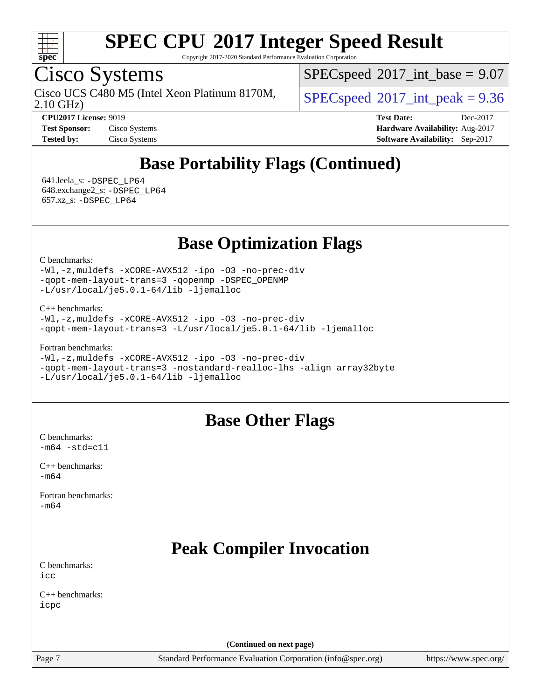

Copyright 2017-2020 Standard Performance Evaluation Corporation

## Cisco Systems

2.10 GHz) Cisco UCS C480 M5 (Intel Xeon Platinum 8170M,  $\vert$  [SPECspeed](http://www.spec.org/auto/cpu2017/Docs/result-fields.html#SPECspeed2017intpeak)®[2017\\_int\\_peak = 9](http://www.spec.org/auto/cpu2017/Docs/result-fields.html#SPECspeed2017intpeak).36

 $SPECspeed^{\circ}2017\_int\_base = 9.07$  $SPECspeed^{\circ}2017\_int\_base = 9.07$ 

**[CPU2017 License:](http://www.spec.org/auto/cpu2017/Docs/result-fields.html#CPU2017License)** 9019 **[Test Date:](http://www.spec.org/auto/cpu2017/Docs/result-fields.html#TestDate)** Dec-2017 **[Test Sponsor:](http://www.spec.org/auto/cpu2017/Docs/result-fields.html#TestSponsor)** Cisco Systems **[Hardware Availability:](http://www.spec.org/auto/cpu2017/Docs/result-fields.html#HardwareAvailability)** Aug-2017 **[Tested by:](http://www.spec.org/auto/cpu2017/Docs/result-fields.html#Testedby)** Cisco Systems **[Software Availability:](http://www.spec.org/auto/cpu2017/Docs/result-fields.html#SoftwareAvailability)** Sep-2017

## **[Base Portability Flags \(Continued\)](http://www.spec.org/auto/cpu2017/Docs/result-fields.html#BasePortabilityFlags)**

 641.leela\_s: [-DSPEC\\_LP64](http://www.spec.org/cpu2017/results/res2017q4/cpu2017-20171128-01154.flags.html#suite_basePORTABILITY641_leela_s_DSPEC_LP64) 648.exchange2\_s: [-DSPEC\\_LP64](http://www.spec.org/cpu2017/results/res2017q4/cpu2017-20171128-01154.flags.html#suite_basePORTABILITY648_exchange2_s_DSPEC_LP64) 657.xz\_s: [-DSPEC\\_LP64](http://www.spec.org/cpu2017/results/res2017q4/cpu2017-20171128-01154.flags.html#suite_basePORTABILITY657_xz_s_DSPEC_LP64)

**[Base Optimization Flags](http://www.spec.org/auto/cpu2017/Docs/result-fields.html#BaseOptimizationFlags)**

[C benchmarks](http://www.spec.org/auto/cpu2017/Docs/result-fields.html#Cbenchmarks):

[-Wl,-z,muldefs](http://www.spec.org/cpu2017/results/res2017q4/cpu2017-20171128-01154.flags.html#user_CCbase_link_force_multiple1_b4cbdb97b34bdee9ceefcfe54f4c8ea74255f0b02a4b23e853cdb0e18eb4525ac79b5a88067c842dd0ee6996c24547a27a4b99331201badda8798ef8a743f577) [-xCORE-AVX512](http://www.spec.org/cpu2017/results/res2017q4/cpu2017-20171128-01154.flags.html#user_CCbase_f-xCORE-AVX512) [-ipo](http://www.spec.org/cpu2017/results/res2017q4/cpu2017-20171128-01154.flags.html#user_CCbase_f-ipo) [-O3](http://www.spec.org/cpu2017/results/res2017q4/cpu2017-20171128-01154.flags.html#user_CCbase_f-O3) [-no-prec-div](http://www.spec.org/cpu2017/results/res2017q4/cpu2017-20171128-01154.flags.html#user_CCbase_f-no-prec-div) [-qopt-mem-layout-trans=3](http://www.spec.org/cpu2017/results/res2017q4/cpu2017-20171128-01154.flags.html#user_CCbase_f-qopt-mem-layout-trans_de80db37974c74b1f0e20d883f0b675c88c3b01e9d123adea9b28688d64333345fb62bc4a798493513fdb68f60282f9a726aa07f478b2f7113531aecce732043) [-qopenmp](http://www.spec.org/cpu2017/results/res2017q4/cpu2017-20171128-01154.flags.html#user_CCbase_qopenmp_16be0c44f24f464004c6784a7acb94aca937f053568ce72f94b139a11c7c168634a55f6653758ddd83bcf7b8463e8028bb0b48b77bcddc6b78d5d95bb1df2967) [-DSPEC\\_OPENMP](http://www.spec.org/cpu2017/results/res2017q4/cpu2017-20171128-01154.flags.html#suite_CCbase_DSPEC_OPENMP) [-L/usr/local/je5.0.1-64/lib](http://www.spec.org/cpu2017/results/res2017q4/cpu2017-20171128-01154.flags.html#user_CCbase_jemalloc_link_path64_4b10a636b7bce113509b17f3bd0d6226c5fb2346b9178c2d0232c14f04ab830f976640479e5c33dc2bcbbdad86ecfb6634cbbd4418746f06f368b512fced5394) [-ljemalloc](http://www.spec.org/cpu2017/results/res2017q4/cpu2017-20171128-01154.flags.html#user_CCbase_jemalloc_link_lib_d1249b907c500fa1c0672f44f562e3d0f79738ae9e3c4a9c376d49f265a04b9c99b167ecedbf6711b3085be911c67ff61f150a17b3472be731631ba4d0471706)

[C++ benchmarks:](http://www.spec.org/auto/cpu2017/Docs/result-fields.html#CXXbenchmarks)

```
-Wl,-z,muldefs -xCORE-AVX512 -ipo -O3 -no-prec-div
-qopt-mem-layout-trans=3 -L/usr/local/je5.0.1-64/lib -ljemalloc
```
[Fortran benchmarks](http://www.spec.org/auto/cpu2017/Docs/result-fields.html#Fortranbenchmarks):

```
-Wl,-z,muldefs -xCORE-AVX512 -ipo -O3 -no-prec-div
-qopt-mem-layout-trans=3 -nostandard-realloc-lhs -align array32byte
-L/usr/local/je5.0.1-64/lib -ljemalloc
```
#### **[Base Other Flags](http://www.spec.org/auto/cpu2017/Docs/result-fields.html#BaseOtherFlags)**

[C benchmarks](http://www.spec.org/auto/cpu2017/Docs/result-fields.html#Cbenchmarks):  $-m64 - std= c11$  $-m64 - std= c11$ 

[C++ benchmarks:](http://www.spec.org/auto/cpu2017/Docs/result-fields.html#CXXbenchmarks)  $-m64$ 

[Fortran benchmarks](http://www.spec.org/auto/cpu2017/Docs/result-fields.html#Fortranbenchmarks): [-m64](http://www.spec.org/cpu2017/results/res2017q4/cpu2017-20171128-01154.flags.html#user_FCbase_intel_intel64_18.0_af43caccfc8ded86e7699f2159af6efc7655f51387b94da716254467f3c01020a5059329e2569e4053f409e7c9202a7efc638f7a6d1ffb3f52dea4a3e31d82ab)

## **[Peak Compiler Invocation](http://www.spec.org/auto/cpu2017/Docs/result-fields.html#PeakCompilerInvocation)**

[C benchmarks](http://www.spec.org/auto/cpu2017/Docs/result-fields.html#Cbenchmarks): [icc](http://www.spec.org/cpu2017/results/res2017q4/cpu2017-20171128-01154.flags.html#user_CCpeak_intel_icc_18.0_66fc1ee009f7361af1fbd72ca7dcefbb700085f36577c54f309893dd4ec40d12360134090235512931783d35fd58c0460139e722d5067c5574d8eaf2b3e37e92)

[C++ benchmarks:](http://www.spec.org/auto/cpu2017/Docs/result-fields.html#CXXbenchmarks) [icpc](http://www.spec.org/cpu2017/results/res2017q4/cpu2017-20171128-01154.flags.html#user_CXXpeak_intel_icpc_18.0_c510b6838c7f56d33e37e94d029a35b4a7bccf4766a728ee175e80a419847e808290a9b78be685c44ab727ea267ec2f070ec5dc83b407c0218cded6866a35d07)

**(Continued on next page)**

Page 7 Standard Performance Evaluation Corporation [\(info@spec.org\)](mailto:info@spec.org) <https://www.spec.org/>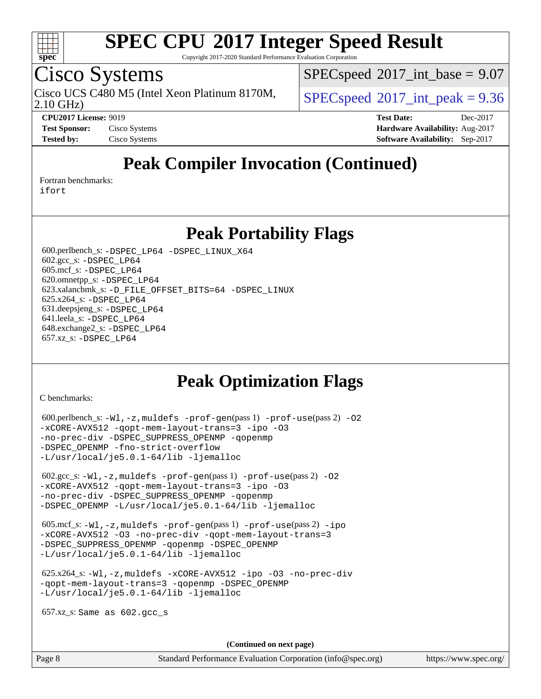

Copyright 2017-2020 Standard Performance Evaluation Corporation

## Cisco Systems

Cisco UCS C480 M5 (Intel Xeon Platinum 8170M,  $\vert$  [SPECspeed](http://www.spec.org/auto/cpu2017/Docs/result-fields.html#SPECspeed2017intpeak)®[2017\\_int\\_peak = 9](http://www.spec.org/auto/cpu2017/Docs/result-fields.html#SPECspeed2017intpeak).36

 $SPECspeed^{\circ}2017\_int\_base = 9.07$  $SPECspeed^{\circ}2017\_int\_base = 9.07$ 

2.10 GHz)

**[CPU2017 License:](http://www.spec.org/auto/cpu2017/Docs/result-fields.html#CPU2017License)** 9019 **[Test Date:](http://www.spec.org/auto/cpu2017/Docs/result-fields.html#TestDate)** Dec-2017 **[Test Sponsor:](http://www.spec.org/auto/cpu2017/Docs/result-fields.html#TestSponsor)** Cisco Systems **[Hardware Availability:](http://www.spec.org/auto/cpu2017/Docs/result-fields.html#HardwareAvailability)** Aug-2017 **[Tested by:](http://www.spec.org/auto/cpu2017/Docs/result-fields.html#Testedby)** Cisco Systems **[Software Availability:](http://www.spec.org/auto/cpu2017/Docs/result-fields.html#SoftwareAvailability)** Sep-2017

## **[Peak Compiler Invocation \(Continued\)](http://www.spec.org/auto/cpu2017/Docs/result-fields.html#PeakCompilerInvocation)**

[Fortran benchmarks](http://www.spec.org/auto/cpu2017/Docs/result-fields.html#Fortranbenchmarks):

[ifort](http://www.spec.org/cpu2017/results/res2017q4/cpu2017-20171128-01154.flags.html#user_FCpeak_intel_ifort_18.0_8111460550e3ca792625aed983ce982f94888b8b503583aa7ba2b8303487b4d8a21a13e7191a45c5fd58ff318f48f9492884d4413fa793fd88dd292cad7027ca)

#### **[Peak Portability Flags](http://www.spec.org/auto/cpu2017/Docs/result-fields.html#PeakPortabilityFlags)**

 600.perlbench\_s: [-DSPEC\\_LP64](http://www.spec.org/cpu2017/results/res2017q4/cpu2017-20171128-01154.flags.html#b600.perlbench_s_peakPORTABILITY_DSPEC_LP64) [-DSPEC\\_LINUX\\_X64](http://www.spec.org/cpu2017/results/res2017q4/cpu2017-20171128-01154.flags.html#b600.perlbench_s_peakCPORTABILITY_DSPEC_LINUX_X64) 602.gcc\_s: [-DSPEC\\_LP64](http://www.spec.org/cpu2017/results/res2017q4/cpu2017-20171128-01154.flags.html#suite_peakPORTABILITY602_gcc_s_DSPEC_LP64) 605.mcf\_s: [-DSPEC\\_LP64](http://www.spec.org/cpu2017/results/res2017q4/cpu2017-20171128-01154.flags.html#suite_peakPORTABILITY605_mcf_s_DSPEC_LP64) 620.omnetpp\_s: [-DSPEC\\_LP64](http://www.spec.org/cpu2017/results/res2017q4/cpu2017-20171128-01154.flags.html#suite_peakPORTABILITY620_omnetpp_s_DSPEC_LP64) 623.xalancbmk\_s: [-D\\_FILE\\_OFFSET\\_BITS=64](http://www.spec.org/cpu2017/results/res2017q4/cpu2017-20171128-01154.flags.html#user_peakPORTABILITY623_xalancbmk_s_file_offset_bits_64_5ae949a99b284ddf4e95728d47cb0843d81b2eb0e18bdfe74bbf0f61d0b064f4bda2f10ea5eb90e1dcab0e84dbc592acfc5018bc955c18609f94ddb8d550002c) [-DSPEC\\_LINUX](http://www.spec.org/cpu2017/results/res2017q4/cpu2017-20171128-01154.flags.html#b623.xalancbmk_s_peakCXXPORTABILITY_DSPEC_LINUX) 625.x264\_s: [-DSPEC\\_LP64](http://www.spec.org/cpu2017/results/res2017q4/cpu2017-20171128-01154.flags.html#suite_peakPORTABILITY625_x264_s_DSPEC_LP64) 631.deepsjeng\_s: [-DSPEC\\_LP64](http://www.spec.org/cpu2017/results/res2017q4/cpu2017-20171128-01154.flags.html#suite_peakPORTABILITY631_deepsjeng_s_DSPEC_LP64) 641.leela\_s: [-DSPEC\\_LP64](http://www.spec.org/cpu2017/results/res2017q4/cpu2017-20171128-01154.flags.html#suite_peakPORTABILITY641_leela_s_DSPEC_LP64) 648.exchange2\_s: [-DSPEC\\_LP64](http://www.spec.org/cpu2017/results/res2017q4/cpu2017-20171128-01154.flags.html#suite_peakPORTABILITY648_exchange2_s_DSPEC_LP64) 657.xz\_s: [-DSPEC\\_LP64](http://www.spec.org/cpu2017/results/res2017q4/cpu2017-20171128-01154.flags.html#suite_peakPORTABILITY657_xz_s_DSPEC_LP64)

#### **[Peak Optimization Flags](http://www.spec.org/auto/cpu2017/Docs/result-fields.html#PeakOptimizationFlags)**

[C benchmarks](http://www.spec.org/auto/cpu2017/Docs/result-fields.html#Cbenchmarks):

```
600.perlbench_s: -W1, -z, muldefs -prof-qen(pass 1)-prof-use(pass 2) -02
-xCORE-AVX512 -qopt-mem-layout-trans=3 -ipo -O3
-no-prec-div -DSPEC_SUPPRESS_OPENMP -qopenmp
-DSPEC_OPENMP -fno-strict-overflow
-L/usr/local/je5.0.1-64/lib -ljemalloc
 602.gcc_s: -Wl,-z,muldefs -prof-gen(pass 1) -prof-use(pass 2) -O2
-xCORE-AVX512 -qopt-mem-layout-trans=3 -ipo -O3
-no-prec-div -DSPEC_SUPPRESS_OPENMP -qopenmp
-DSPEC_OPENMP -L/usr/local/je5.0.1-64/lib -ljemalloc
 605.mcf_s: -Wl,-z,muldefs -prof-gen(pass 1) -prof-use(pass 2) -ipo
-xCORE-AVX512 -O3 -no-prec-div -qopt-mem-layout-trans=3
-DSPEC_SUPPRESS_OPENMP -qopenmp -DSPEC_OPENMP
-L/usr/local/je5.0.1-64/lib -ljemalloc
 625.x264_s: -Wl,-z,muldefs -xCORE-AVX512 -ipo -O3 -no-prec-div
-qopt-mem-layout-trans=3 -qopenmp -DSPEC_OPENMP
-L/usr/local/je5.0.1-64/lib -ljemalloc
 657.xz_s: Same as 602.gcc_s
```
**(Continued on next page)**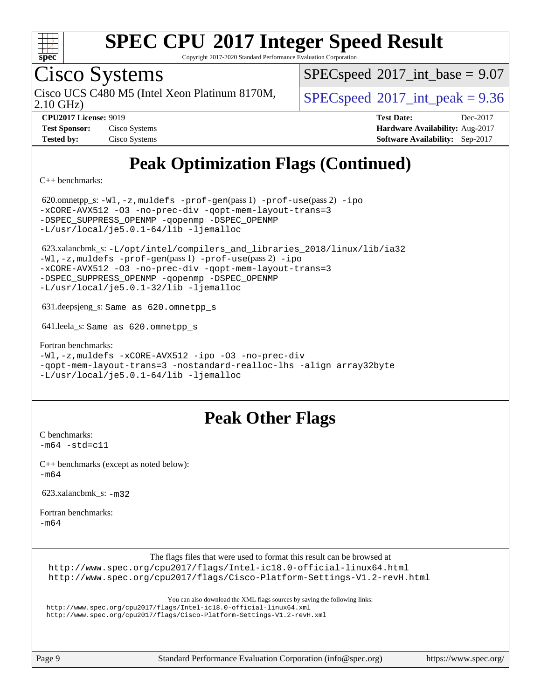

Copyright 2017-2020 Standard Performance Evaluation Corporation

## Cisco Systems

2.10 GHz) Cisco UCS C480 M5 (Intel Xeon Platinum 8170M,  $\vert$  [SPECspeed](http://www.spec.org/auto/cpu2017/Docs/result-fields.html#SPECspeed2017intpeak)®[2017\\_int\\_peak = 9](http://www.spec.org/auto/cpu2017/Docs/result-fields.html#SPECspeed2017intpeak).36

 $SPECspeed^{\circ}2017\_int\_base = 9.07$  $SPECspeed^{\circ}2017\_int\_base = 9.07$ 

**[Test Sponsor:](http://www.spec.org/auto/cpu2017/Docs/result-fields.html#TestSponsor)** Cisco Systems **[Hardware Availability:](http://www.spec.org/auto/cpu2017/Docs/result-fields.html#HardwareAvailability)** Aug-2017

**[CPU2017 License:](http://www.spec.org/auto/cpu2017/Docs/result-fields.html#CPU2017License)** 9019 **[Test Date:](http://www.spec.org/auto/cpu2017/Docs/result-fields.html#TestDate)** Dec-2017 **[Tested by:](http://www.spec.org/auto/cpu2017/Docs/result-fields.html#Testedby)** Cisco Systems **[Software Availability:](http://www.spec.org/auto/cpu2017/Docs/result-fields.html#SoftwareAvailability)** Sep-2017

## **[Peak Optimization Flags \(Continued\)](http://www.spec.org/auto/cpu2017/Docs/result-fields.html#PeakOptimizationFlags)**

[C++ benchmarks:](http://www.spec.org/auto/cpu2017/Docs/result-fields.html#CXXbenchmarks)

 620.omnetpp\_s: [-Wl,-z,muldefs](http://www.spec.org/cpu2017/results/res2017q4/cpu2017-20171128-01154.flags.html#user_peakEXTRA_LDFLAGS620_omnetpp_s_link_force_multiple1_b4cbdb97b34bdee9ceefcfe54f4c8ea74255f0b02a4b23e853cdb0e18eb4525ac79b5a88067c842dd0ee6996c24547a27a4b99331201badda8798ef8a743f577) [-prof-gen](http://www.spec.org/cpu2017/results/res2017q4/cpu2017-20171128-01154.flags.html#user_peakPASS1_CXXFLAGSPASS1_LDFLAGS620_omnetpp_s_prof_gen_5aa4926d6013ddb2a31985c654b3eb18169fc0c6952a63635c234f711e6e63dd76e94ad52365559451ec499a2cdb89e4dc58ba4c67ef54ca681ffbe1461d6b36)(pass 1) [-prof-use](http://www.spec.org/cpu2017/results/res2017q4/cpu2017-20171128-01154.flags.html#user_peakPASS2_CXXFLAGSPASS2_LDFLAGS620_omnetpp_s_prof_use_1a21ceae95f36a2b53c25747139a6c16ca95bd9def2a207b4f0849963b97e94f5260e30a0c64f4bb623698870e679ca08317ef8150905d41bd88c6f78df73f19)(pass 2) [-ipo](http://www.spec.org/cpu2017/results/res2017q4/cpu2017-20171128-01154.flags.html#user_peakPASS1_CXXOPTIMIZEPASS2_CXXOPTIMIZE620_omnetpp_s_f-ipo) [-xCORE-AVX512](http://www.spec.org/cpu2017/results/res2017q4/cpu2017-20171128-01154.flags.html#user_peakPASS2_CXXOPTIMIZE620_omnetpp_s_f-xCORE-AVX512) [-O3](http://www.spec.org/cpu2017/results/res2017q4/cpu2017-20171128-01154.flags.html#user_peakPASS1_CXXOPTIMIZEPASS2_CXXOPTIMIZE620_omnetpp_s_f-O3) [-no-prec-div](http://www.spec.org/cpu2017/results/res2017q4/cpu2017-20171128-01154.flags.html#user_peakPASS1_CXXOPTIMIZEPASS2_CXXOPTIMIZE620_omnetpp_s_f-no-prec-div) [-qopt-mem-layout-trans=3](http://www.spec.org/cpu2017/results/res2017q4/cpu2017-20171128-01154.flags.html#user_peakPASS1_CXXOPTIMIZEPASS2_CXXOPTIMIZE620_omnetpp_s_f-qopt-mem-layout-trans_de80db37974c74b1f0e20d883f0b675c88c3b01e9d123adea9b28688d64333345fb62bc4a798493513fdb68f60282f9a726aa07f478b2f7113531aecce732043) [-DSPEC\\_SUPPRESS\\_OPENMP](http://www.spec.org/cpu2017/results/res2017q4/cpu2017-20171128-01154.flags.html#suite_peakPASS1_CXXOPTIMIZE620_omnetpp_s_DSPEC_SUPPRESS_OPENMP) [-qopenmp](http://www.spec.org/cpu2017/results/res2017q4/cpu2017-20171128-01154.flags.html#user_peakPASS2_CXXOPTIMIZE620_omnetpp_s_qopenmp_16be0c44f24f464004c6784a7acb94aca937f053568ce72f94b139a11c7c168634a55f6653758ddd83bcf7b8463e8028bb0b48b77bcddc6b78d5d95bb1df2967) [-DSPEC\\_OPENMP](http://www.spec.org/cpu2017/results/res2017q4/cpu2017-20171128-01154.flags.html#suite_peakPASS2_CXXOPTIMIZE620_omnetpp_s_DSPEC_OPENMP) [-L/usr/local/je5.0.1-64/lib](http://www.spec.org/cpu2017/results/res2017q4/cpu2017-20171128-01154.flags.html#user_peakEXTRA_LIBS620_omnetpp_s_jemalloc_link_path64_4b10a636b7bce113509b17f3bd0d6226c5fb2346b9178c2d0232c14f04ab830f976640479e5c33dc2bcbbdad86ecfb6634cbbd4418746f06f368b512fced5394) [-ljemalloc](http://www.spec.org/cpu2017/results/res2017q4/cpu2017-20171128-01154.flags.html#user_peakEXTRA_LIBS620_omnetpp_s_jemalloc_link_lib_d1249b907c500fa1c0672f44f562e3d0f79738ae9e3c4a9c376d49f265a04b9c99b167ecedbf6711b3085be911c67ff61f150a17b3472be731631ba4d0471706) 623.xalancbmk\_s: [-L/opt/intel/compilers\\_and\\_libraries\\_2018/linux/lib/ia32](http://www.spec.org/cpu2017/results/res2017q4/cpu2017-20171128-01154.flags.html#user_peakCXXLD623_xalancbmk_s_Enable-32bit-runtime_af243bdb1d79e4c7a4f720bf8275e627de2ecd461de63307bc14cef0633fde3cd7bb2facb32dcc8be9566045fb55d40ce2b72b725f73827aa7833441b71b9343) [-Wl,-z,muldefs](http://www.spec.org/cpu2017/results/res2017q4/cpu2017-20171128-01154.flags.html#user_peakEXTRA_LDFLAGS623_xalancbmk_s_link_force_multiple1_b4cbdb97b34bdee9ceefcfe54f4c8ea74255f0b02a4b23e853cdb0e18eb4525ac79b5a88067c842dd0ee6996c24547a27a4b99331201badda8798ef8a743f577) [-prof-gen](http://www.spec.org/cpu2017/results/res2017q4/cpu2017-20171128-01154.flags.html#user_peakPASS1_CXXFLAGSPASS1_LDFLAGS623_xalancbmk_s_prof_gen_5aa4926d6013ddb2a31985c654b3eb18169fc0c6952a63635c234f711e6e63dd76e94ad52365559451ec499a2cdb89e4dc58ba4c67ef54ca681ffbe1461d6b36)(pass 1) [-prof-use](http://www.spec.org/cpu2017/results/res2017q4/cpu2017-20171128-01154.flags.html#user_peakPASS2_CXXFLAGSPASS2_LDFLAGS623_xalancbmk_s_prof_use_1a21ceae95f36a2b53c25747139a6c16ca95bd9def2a207b4f0849963b97e94f5260e30a0c64f4bb623698870e679ca08317ef8150905d41bd88c6f78df73f19)(pass 2) [-ipo](http://www.spec.org/cpu2017/results/res2017q4/cpu2017-20171128-01154.flags.html#user_peakPASS1_CXXOPTIMIZEPASS2_CXXOPTIMIZE623_xalancbmk_s_f-ipo) [-xCORE-AVX512](http://www.spec.org/cpu2017/results/res2017q4/cpu2017-20171128-01154.flags.html#user_peakPASS2_CXXOPTIMIZE623_xalancbmk_s_f-xCORE-AVX512) [-O3](http://www.spec.org/cpu2017/results/res2017q4/cpu2017-20171128-01154.flags.html#user_peakPASS1_CXXOPTIMIZEPASS2_CXXOPTIMIZE623_xalancbmk_s_f-O3) [-no-prec-div](http://www.spec.org/cpu2017/results/res2017q4/cpu2017-20171128-01154.flags.html#user_peakPASS1_CXXOPTIMIZEPASS2_CXXOPTIMIZE623_xalancbmk_s_f-no-prec-div) [-qopt-mem-layout-trans=3](http://www.spec.org/cpu2017/results/res2017q4/cpu2017-20171128-01154.flags.html#user_peakPASS1_CXXOPTIMIZEPASS2_CXXOPTIMIZE623_xalancbmk_s_f-qopt-mem-layout-trans_de80db37974c74b1f0e20d883f0b675c88c3b01e9d123adea9b28688d64333345fb62bc4a798493513fdb68f60282f9a726aa07f478b2f7113531aecce732043) [-DSPEC\\_SUPPRESS\\_OPENMP](http://www.spec.org/cpu2017/results/res2017q4/cpu2017-20171128-01154.flags.html#suite_peakPASS1_CXXOPTIMIZE623_xalancbmk_s_DSPEC_SUPPRESS_OPENMP) [-qopenmp](http://www.spec.org/cpu2017/results/res2017q4/cpu2017-20171128-01154.flags.html#user_peakPASS2_CXXOPTIMIZE623_xalancbmk_s_qopenmp_16be0c44f24f464004c6784a7acb94aca937f053568ce72f94b139a11c7c168634a55f6653758ddd83bcf7b8463e8028bb0b48b77bcddc6b78d5d95bb1df2967) [-DSPEC\\_OPENMP](http://www.spec.org/cpu2017/results/res2017q4/cpu2017-20171128-01154.flags.html#suite_peakPASS2_CXXOPTIMIZE623_xalancbmk_s_DSPEC_OPENMP) [-L/usr/local/je5.0.1-32/lib](http://www.spec.org/cpu2017/results/res2017q4/cpu2017-20171128-01154.flags.html#user_peakEXTRA_LIBS623_xalancbmk_s_jemalloc_link_path32_e29f22e8e6c17053bbc6a0971f5a9c01a601a06bb1a59df2084b77a2fe0a2995b64fd4256feaeea39eeba3aae142e96e2b2b0a28974019c0c0c88139a84f900a) [-ljemalloc](http://www.spec.org/cpu2017/results/res2017q4/cpu2017-20171128-01154.flags.html#user_peakEXTRA_LIBS623_xalancbmk_s_jemalloc_link_lib_d1249b907c500fa1c0672f44f562e3d0f79738ae9e3c4a9c376d49f265a04b9c99b167ecedbf6711b3085be911c67ff61f150a17b3472be731631ba4d0471706) 631.deepsjeng\_s: Same as 620.omnetpp\_s 641.leela\_s: Same as 620.omnetpp\_s [Fortran benchmarks](http://www.spec.org/auto/cpu2017/Docs/result-fields.html#Fortranbenchmarks): [-Wl,-z,muldefs](http://www.spec.org/cpu2017/results/res2017q4/cpu2017-20171128-01154.flags.html#user_FCpeak_link_force_multiple1_b4cbdb97b34bdee9ceefcfe54f4c8ea74255f0b02a4b23e853cdb0e18eb4525ac79b5a88067c842dd0ee6996c24547a27a4b99331201badda8798ef8a743f577) [-xCORE-AVX512](http://www.spec.org/cpu2017/results/res2017q4/cpu2017-20171128-01154.flags.html#user_FCpeak_f-xCORE-AVX512) [-ipo](http://www.spec.org/cpu2017/results/res2017q4/cpu2017-20171128-01154.flags.html#user_FCpeak_f-ipo) [-O3](http://www.spec.org/cpu2017/results/res2017q4/cpu2017-20171128-01154.flags.html#user_FCpeak_f-O3) [-no-prec-div](http://www.spec.org/cpu2017/results/res2017q4/cpu2017-20171128-01154.flags.html#user_FCpeak_f-no-prec-div) [-qopt-mem-layout-trans=3](http://www.spec.org/cpu2017/results/res2017q4/cpu2017-20171128-01154.flags.html#user_FCpeak_f-qopt-mem-layout-trans_de80db37974c74b1f0e20d883f0b675c88c3b01e9d123adea9b28688d64333345fb62bc4a798493513fdb68f60282f9a726aa07f478b2f7113531aecce732043) [-nostandard-realloc-lhs](http://www.spec.org/cpu2017/results/res2017q4/cpu2017-20171128-01154.flags.html#user_FCpeak_f_2003_std_realloc_82b4557e90729c0f113870c07e44d33d6f5a304b4f63d4c15d2d0f1fab99f5daaed73bdb9275d9ae411527f28b936061aa8b9c8f2d63842963b95c9dd6426b8a) [-align array32byte](http://www.spec.org/cpu2017/results/res2017q4/cpu2017-20171128-01154.flags.html#user_FCpeak_align_array32byte_b982fe038af199962ba9a80c053b8342c548c85b40b8e86eb3cc33dee0d7986a4af373ac2d51c3f7cf710a18d62fdce2948f201cd044323541f22fc0fffc51b6) [-L/usr/local/je5.0.1-64/lib](http://www.spec.org/cpu2017/results/res2017q4/cpu2017-20171128-01154.flags.html#user_FCpeak_jemalloc_link_path64_4b10a636b7bce113509b17f3bd0d6226c5fb2346b9178c2d0232c14f04ab830f976640479e5c33dc2bcbbdad86ecfb6634cbbd4418746f06f368b512fced5394) [-ljemalloc](http://www.spec.org/cpu2017/results/res2017q4/cpu2017-20171128-01154.flags.html#user_FCpeak_jemalloc_link_lib_d1249b907c500fa1c0672f44f562e3d0f79738ae9e3c4a9c376d49f265a04b9c99b167ecedbf6711b3085be911c67ff61f150a17b3472be731631ba4d0471706)

#### **[Peak Other Flags](http://www.spec.org/auto/cpu2017/Docs/result-fields.html#PeakOtherFlags)**

[C benchmarks](http://www.spec.org/auto/cpu2017/Docs/result-fields.html#Cbenchmarks):  $-m64 - std= c11$  $-m64 - std= c11$ 

[C++ benchmarks \(except as noted below\):](http://www.spec.org/auto/cpu2017/Docs/result-fields.html#CXXbenchmarksexceptasnotedbelow) [-m64](http://www.spec.org/cpu2017/results/res2017q4/cpu2017-20171128-01154.flags.html#user_CXXpeak_intel_intel64_18.0_af43caccfc8ded86e7699f2159af6efc7655f51387b94da716254467f3c01020a5059329e2569e4053f409e7c9202a7efc638f7a6d1ffb3f52dea4a3e31d82ab)

623.xalancbmk\_s: [-m32](http://www.spec.org/cpu2017/results/res2017q4/cpu2017-20171128-01154.flags.html#user_peakCXXLD623_xalancbmk_s_intel_ia32_18.0_2666f1173eb60787016b673bfe1358e27016ef7649ea4884b7bc6187fd89dc221d14632e22638cde1c647a518de97358ab15d4ad098ee4e19a8b28d0c25e14bf)

[Fortran benchmarks](http://www.spec.org/auto/cpu2017/Docs/result-fields.html#Fortranbenchmarks): [-m64](http://www.spec.org/cpu2017/results/res2017q4/cpu2017-20171128-01154.flags.html#user_FCpeak_intel_intel64_18.0_af43caccfc8ded86e7699f2159af6efc7655f51387b94da716254467f3c01020a5059329e2569e4053f409e7c9202a7efc638f7a6d1ffb3f52dea4a3e31d82ab)

[The flags files that were used to format this result can be browsed at](tmsearch)

<http://www.spec.org/cpu2017/flags/Intel-ic18.0-official-linux64.html> <http://www.spec.org/cpu2017/flags/Cisco-Platform-Settings-V1.2-revH.html>

[You can also download the XML flags sources by saving the following links:](tmsearch)

<http://www.spec.org/cpu2017/flags/Intel-ic18.0-official-linux64.xml> <http://www.spec.org/cpu2017/flags/Cisco-Platform-Settings-V1.2-revH.xml>